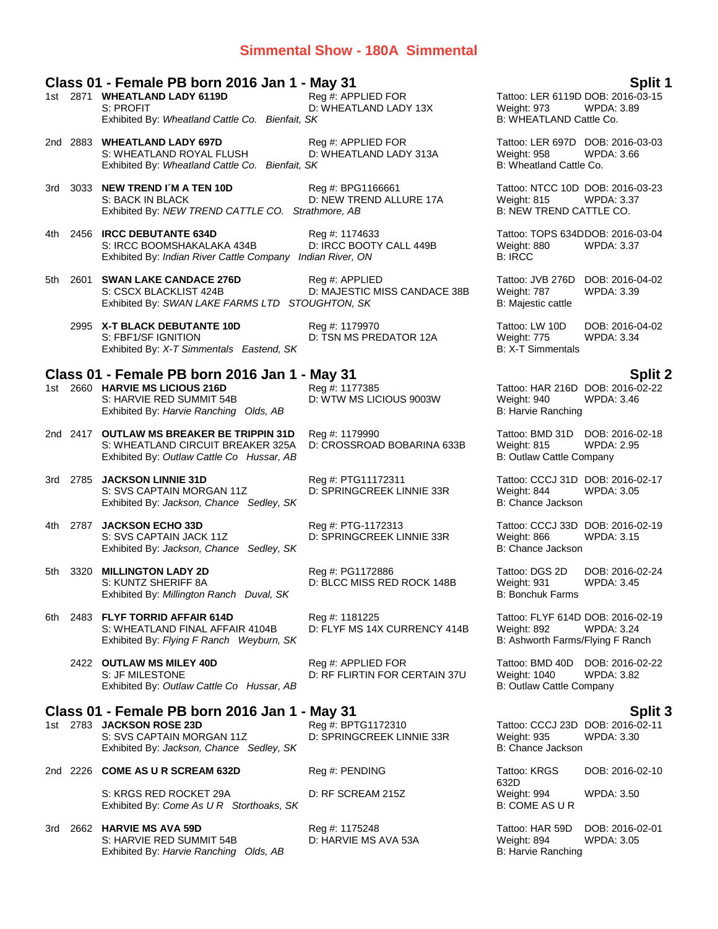### **Simmental Show - 180A Simmental**

### **Class 01 - Female PB born 2016 Jan 1 - May 31 Split 1**

|       |          | 1st 2871 WHEATLAND LADY 6119D<br>S: PROFIT<br>Exhibited By: Wheatland Cattle Co. Bienfait, SK                               | $\cdots$ , $\cdots$<br>Reg #: APPLIED FOR<br>D: WHEATLAND LADY 13X | Tattoo: LER 6119D DOB: 2016-03-15<br>Weight: 973<br>B: WHEATLAND Cattle Co.          | WPDA: 3.89                           |
|-------|----------|-----------------------------------------------------------------------------------------------------------------------------|--------------------------------------------------------------------|--------------------------------------------------------------------------------------|--------------------------------------|
|       |          | 2nd 2883 WHEATLAND LADY 697D<br>S: WHEATLAND ROYAL FLUSH<br>Exhibited By: Wheatland Cattle Co. Bienfait, SK                 | Reg #: APPLIED FOR<br>D: WHEATLAND LADY 313A                       | Tattoo: LER 697D DOB: 2016-03-03<br>Weight: 958<br>B: Wheatland Cattle Co.           | WPDA: 3.66                           |
| 3rd - |          | 3033 NEW TREND I'M A TEN 10D<br>S: BACK IN BLACK<br>Exhibited By: NEW TREND CATTLE CO. Strathmore, AB                       | Reg #: BPG1166661<br>D: NEW TREND ALLURE 17A                       | Tattoo: NTCC 10D DOB: 2016-03-23<br>Weight: 815<br>B: NEW TREND CATTLE CO.           | WPDA: 3.37                           |
|       |          | 4th 2456 IRCC DEBUTANTE 634D<br>S: IRCC BOOMSHAKALAKA 434B<br>Exhibited By: Indian River Cattle Company Indian River, ON    | Reg #: 1174633<br>D: IRCC BOOTY CALL 449B                          | Tattoo: TOPS 634DDOB: 2016-03-04<br>Weight: 880<br><b>B: IRCC</b>                    | <b>WPDA: 3.37</b>                    |
|       |          | 5th 2601 SWAN LAKE CANDACE 276D<br>S: CSCX BLACKLIST 424B<br>Exhibited By: SWAN LAKE FARMS LTD STOUGHTON, SK                | Reg #: APPLIED<br>D: MAJESTIC MISS CANDACE 38B                     | Tattoo: JVB 276D DOB: 2016-04-02<br>Weight: 787<br>B: Majestic cattle                | WPDA: 3.39                           |
|       |          | 2995 X-T BLACK DEBUTANTE 10D<br>S: FBF1/SF IGNITION<br>Exhibited By: X-T Simmentals Eastend, SK                             | Reg #: 1179970<br>D: TSN MS PREDATOR 12A                           | Tattoo: LW 10D<br>Weight: 775<br>B: X-T Simmentals                                   | DOB: 2016-04-02<br><b>WPDA: 3.34</b> |
|       |          | Class 01 - Female PB born 2016 Jan 1 - May 31                                                                               |                                                                    |                                                                                      |                                      |
|       |          | 1st 2660 HARVIE MS LICIOUS 216D<br>S: HARVIE RED SUMMIT 54B<br>Exhibited By: Harvie Ranching Olds, AB                       | Reg #: 1177385<br>D: WTW MS LICIOUS 9003W                          | Tattoo: HAR 216D DOB: 2016-02-22<br>Weight: 940<br>B: Harvie Ranching                | <b>Split 2</b><br><b>WPDA: 3.46</b>  |
|       |          | 2nd 2417 OUTLAW MS BREAKER BE TRIPPIN 31D<br>S: WHEATLAND CIRCUIT BREAKER 325A<br>Exhibited By: Outlaw Cattle Co Hussar, AB | Reg #: 1179990<br>D: CROSSROAD BOBARINA 633B                       | Tattoo: BMD 31D<br>Weight: 815<br>B: Outlaw Cattle Company                           | DOB: 2016-02-18<br><b>WPDA: 2.95</b> |
|       |          | 3rd 2785 JACKSON LINNIE 31D<br>S: SVS CAPTAIN MORGAN 11Z<br>Exhibited By: Jackson, Chance Sedley, SK                        | Reg #: PTG11172311<br>D: SPRINGCREEK LINNIE 33R                    | Tattoo: CCCJ 31D DOB: 2016-02-17<br>Weight: 844<br>B: Chance Jackson                 | <b>WPDA: 3.05</b>                    |
|       | 4th 2787 | <b>JACKSON ECHO 33D</b><br>S: SVS CAPTAIN JACK 11Z<br>Exhibited By: Jackson, Chance Sedley, SK                              | Reg #: PTG-1172313<br>D: SPRINGCREEK LINNIE 33R                    | Tattoo: CCCJ 33D DOB: 2016-02-19<br>Weight: 866<br>B: Chance Jackson                 | WPDA: 3.15                           |
|       | 5th 3320 | <b>MILLINGTON LADY 2D</b><br>S: KUNTZ SHERIFF 8A<br>Exhibited By: Millington Ranch Duval, SK                                | Reg #: PG1172886<br>D: BLCC MISS RED ROCK 148B                     | Tattoo: DGS 2D<br>Weight: 931<br><b>B: Bonchuk Farms</b>                             | DOB: 2016-02-24<br>WPDA: 3.45        |
|       |          | 6th 2483 FLYF TORRID AFFAIR 614D<br>S: WHEATLAND FINAL AFFAIR 4104B<br>Exhibited By: Flying F Ranch Weyburn, SK             | Reg #: 1181225<br>D: FLYF MS 14X CURRENCY 414B                     | Tattoo: FLYF 614D DOB: 2016-02-19<br>Weight: 892<br>B: Ashworth Farms/Flying F Ranch | WPDA: 3.24                           |
|       |          | 2422 OUTLAW MS MILEY 40D<br>S: JF MILESTONE<br>Exhibited By: Outlaw Cattle Co Hussar, AB                                    | Reg #: APPLIED FOR<br>D: RF FLIRTIN FOR CERTAIN 37U                | Tattoo: BMD 40D DOB: 2016-02-22<br><b>Weight: 1040</b><br>B: Outlaw Cattle Company   | WPDA: 3.82                           |
|       |          | Class 01 - Female PB born 2016 Jan 1 - May 31                                                                               |                                                                    |                                                                                      |                                      |
|       |          | 1st 2783 JACKSON ROSE 23D<br>S: SVS CAPTAIN MORGAN 11Z<br>Exhibited By: Jackson, Chance Sedley, SK                          | Reg #: BPTG1172310<br>D: SPRINGCREEK LINNIE 33R                    | Tattoo: CCCJ 23D DOB: 2016-02-11<br><b>Weight: 935</b><br>B: Chance Jackson          | <b>Split 3</b><br><b>WPDA: 3.30</b>  |
|       |          | 2nd 2226 COME AS U R SCREAM 632D                                                                                            | Reg #: PENDING                                                     | Tattoo: KRGS                                                                         | DOB: 2016-02-10                      |
|       |          | S: KRGS RED ROCKET 29A<br>Exhibited By: Come As U R Storthoaks, SK                                                          | D: RF SCREAM 215Z                                                  | 632D<br>Weight: 994<br><b>B: COME AS U R</b>                                         | WPDA: 3.50                           |
| 3rd   |          | 2662 HARVIE MS AVA 59D<br>S: HARVIE RED SUMMIT 54B<br>Exhibited By: Harvie Ranching Olds, AB                                | Reg #: 1175248<br>D: HARVIE MS AVA 53A                             | Tattoo: HAR 59D<br>Weight: 894<br>B: Harvie Ranching                                 | DOB: 2016-02-01<br>WPDA: 3.05        |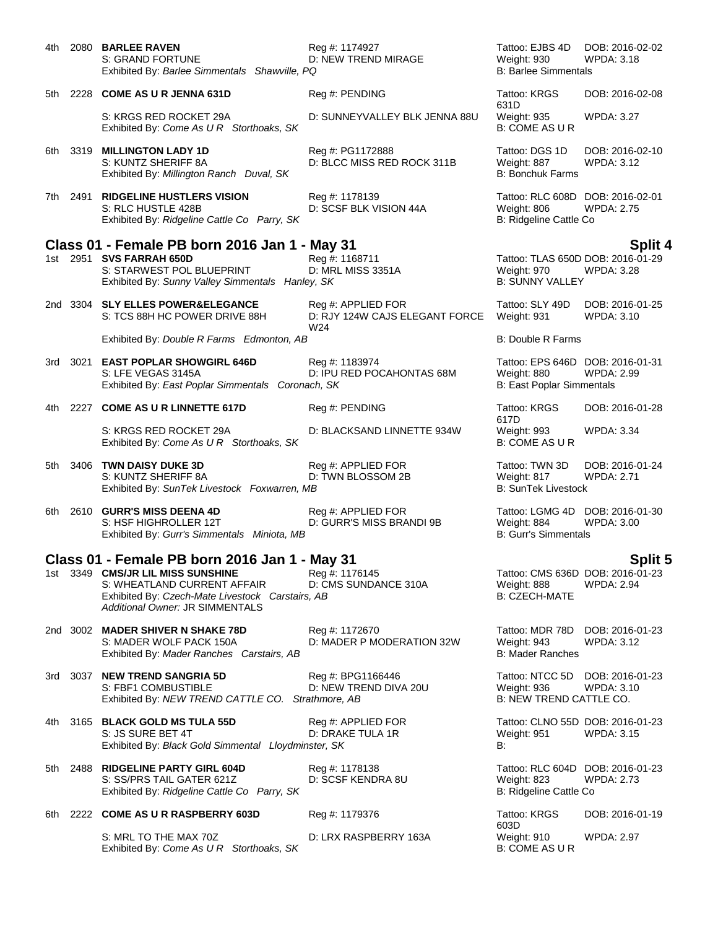| 4th   |      | 2080 BARLEE RAVEN<br>S: GRAND FORTUNE<br>Exhibited By: Barlee Simmentals Shawville, PQ                                                                | Reg #: 1174927<br><b>D: NEW TREND MIRAGE</b>                | Tattoo: EJBS 4D<br>Weight: 930<br><b>B: Barlee Simmentals</b>                       | DOB: 2016-02-02<br>WPDA: 3.18        |
|-------|------|-------------------------------------------------------------------------------------------------------------------------------------------------------|-------------------------------------------------------------|-------------------------------------------------------------------------------------|--------------------------------------|
| 5th l |      | 2228 COME AS U R JENNA 631D                                                                                                                           | Reg #: PENDING                                              | Tattoo: KRGS<br>631D                                                                | DOB: 2016-02-08                      |
|       |      | S: KRGS RED ROCKET 29A<br>Exhibited By: Come As U R Storthoaks, SK                                                                                    | D: SUNNEYVALLEY BLK JENNA 88U                               | Weight: 935<br><b>B: COME AS U R</b>                                                | <b>WPDA: 3.27</b>                    |
|       |      | 6th 3319 MILLINGTON LADY 1D<br>S: KUNTZ SHERIFF 8A<br>Exhibited By: Millington Ranch Duval, SK                                                        | Reg #: PG1172888<br>D: BLCC MISS RED ROCK 311B              | Tattoo: DGS 1D<br>Weight: 887<br><b>B: Bonchuk Farms</b>                            | DOB: 2016-02-10<br>WPDA: 3.12        |
|       |      | 7th 2491 RIDGELINE HUSTLERS VISION<br>S: RLC HUSTLE 428B<br>Exhibited By: Ridgeline Cattle Co Parry, SK                                               | Reg #: 1178139<br>D: SCSF BLK VISION 44A                    | Tattoo: RLC 608D DOB: 2016-02-01<br>Weight: 806<br>B: Ridgeline Cattle Co           | <b>WPDA: 2.75</b>                    |
|       |      | Class 01 - Female PB born 2016 Jan 1 - May 31                                                                                                         |                                                             |                                                                                     | <b>Split 4</b>                       |
|       |      | 1st 2951 SVS FARRAH 650D<br>S: STARWEST POL BLUEPRINT<br>Exhibited By: Sunny Valley Simmentals Hanley, SK                                             | Reg #: 1168711<br>D: MRL MISS 3351A                         | Tattoo: TLAS 650D DOB: 2016-01-29<br>Weight: 970<br><b>B: SUNNY VALLEY</b>          | WPDA: 3.28                           |
|       |      | 2nd 3304 SLY ELLES POWER&ELEGANCE<br>S: TCS 88H HC POWER DRIVE 88H                                                                                    | Reg #: APPLIED FOR<br>D: RJY 124W CAJS ELEGANT FORCE<br>W24 | Tattoo: SLY 49D<br>Weight: 931                                                      | DOB: 2016-01-25<br><b>WPDA: 3.10</b> |
|       |      | Exhibited By: Double R Farms Edmonton, AB                                                                                                             |                                                             | <b>B: Double R Farms</b>                                                            |                                      |
| 3rd   |      | 3021 EAST POPLAR SHOWGIRL 646D<br>S: LFE VEGAS 3145A<br>Exhibited By: East Poplar Simmentals Coronach, SK                                             | Reg #: 1183974<br>D: IPU RED POCAHONTAS 68M                 | Tattoo: EPS 646D DOB: 2016-01-31<br>Weight: 880<br><b>B: East Poplar Simmentals</b> | <b>WPDA: 2.99</b>                    |
|       |      | 4th 2227 COME AS U R LINNETTE 617D                                                                                                                    | Reg #: PENDING                                              | Tattoo: KRGS<br>617D                                                                | DOB: 2016-01-28                      |
|       |      | S: KRGS RED ROCKET 29A<br>Exhibited By: Come As U R Storthoaks, SK                                                                                    | D: BLACKSAND LINNETTE 934W                                  | Weight: 993<br><b>B: COME AS U R</b>                                                | <b>WPDA: 3.34</b>                    |
| 5th   |      | 3406 TWN DAISY DUKE 3D<br>S: KUNTZ SHERIFF 8A<br>Exhibited By: SunTek Livestock Foxwarren, MB                                                         | Reg #: APPLIED FOR<br>D: TWN BLOSSOM 2B                     | Tattoo: TWN 3D<br>Weight: 817<br><b>B: SunTek Livestock</b>                         | DOB: 2016-01-24<br><b>WPDA: 2.71</b> |
|       |      | 6th 2610 GURR'S MISS DEENA 4D<br>S: HSF HIGHROLLER 12T<br>Exhibited By: Gurr's Simmentals Miniota, MB                                                 | Reg #: APPLIED FOR<br>D: GURR'S MISS BRANDI 9B              | Tattoo: LGMG 4D DOB: 2016-01-30<br>Weight: 884<br><b>B: Gurr's Simmentals</b>       | WPDA: 3.00                           |
|       |      | Class 01 - Female PB born 2016 Jan 1 - May 31                                                                                                         |                                                             |                                                                                     | Split 5                              |
| 1st   | 3349 | <b>CMS/JR LIL MISS SUNSHINE</b><br>S: WHEATLAND CURRENT AFFAIR<br>Exhibited By: Czech-Mate Livestock Carstairs, AB<br>Additional Owner: JR SIMMENTALS | Reg #: 1176145<br>D: CMS SUNDANCE 310A                      | Tattoo: CMS 636D DOB: 2016-01-23<br>Weight: 888<br><b>B: CZECH-MATE</b>             | <b>WPDA: 2.94</b>                    |
|       |      | 2nd 3002 MADER SHIVER N SHAKE 78D<br>S: MADER WOLF PACK 150A<br>Exhibited By: Mader Ranches Carstairs, AB                                             | Reg #: 1172670<br>D: MADER P MODERATION 32W                 | Tattoo: MDR 78D<br>Weight: 943<br><b>B: Mader Ranches</b>                           | DOB: 2016-01-23<br>WPDA: 3.12        |
| 3rd   |      | 3037 NEW TREND SANGRIA 5D<br>S: FBF1 COMBUSTIBLE<br>Exhibited By: NEW TREND CATTLE CO. Strathmore, AB                                                 | Reg #: BPG1166446<br>D: NEW TREND DIVA 20U                  | Tattoo: NTCC 5D DOB: 2016-01-23<br>Weight: 936<br>B: NEW TREND CATTLE CO.           | <b>WPDA: 3.10</b>                    |
| 4th l |      | 3165 BLACK GOLD MS TULA 55D<br>S: JS SURE BET 4T<br>Exhibited By: Black Gold Simmental Lloydminster, SK                                               | Reg #: APPLIED FOR<br>D: DRAKE TULA 1R                      | Tattoo: CLNO 55D DOB: 2016-01-23<br>Weight: 951<br>В:                               | <b>WPDA: 3.15</b>                    |
| 5th.  |      | 2488 RIDGELINE PARTY GIRL 604D<br>S: SS/PRS TAIL GATER 621Z<br>Exhibited By: Ridgeline Cattle Co Parry, SK                                            | Reg #: 1178138<br>D: SCSF KENDRA 8U                         | Tattoo: RLC 604D DOB: 2016-01-23<br>Weight: 823<br>B: Ridgeline Cattle Co           | <b>WPDA: 2.73</b>                    |
| 6th   |      | 2222 COME AS UR RASPBERRY 603D                                                                                                                        | Reg #: 1179376                                              | Tattoo: KRGS<br>603D                                                                | DOB: 2016-01-19                      |
|       |      | S: MRL TO THE MAX 70Z<br>Exhibited By: Come As U R Storthoaks, SK                                                                                     | D: LRX RASPBERRY 163A                                       | Weight: 910<br>B: COME AS U R                                                       | <b>WPDA: 2.97</b>                    |
|       |      |                                                                                                                                                       |                                                             |                                                                                     |                                      |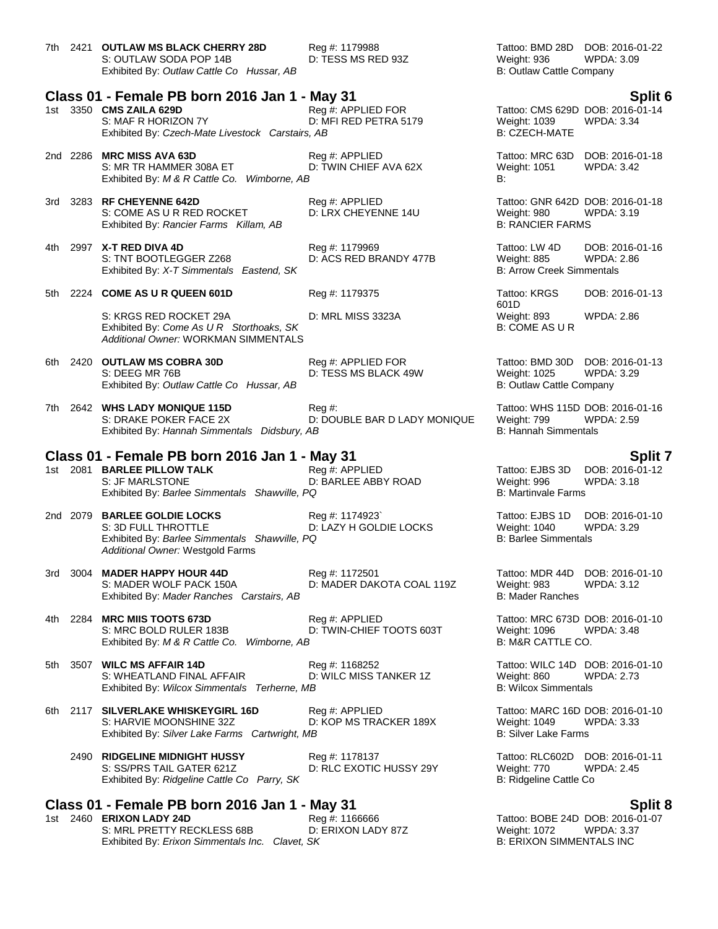|     |      | 7th 2421 OUTLAW MS BLACK CHERRY 28D<br>S: OUTLAW SODA POP 14B<br>Exhibited By: Outlaw Cattle Co Hussar, AB                               | Reg #: 1179988<br>D: TESS MS RED 93Z        | Tattoo: BMD 28D DOB: 2016-01-22<br><b>WPDA: 3.09</b><br>Weight: 936<br>B: Outlaw Cattle Company      |  |
|-----|------|------------------------------------------------------------------------------------------------------------------------------------------|---------------------------------------------|------------------------------------------------------------------------------------------------------|--|
|     |      | Class 01 - Female PB born 2016 Jan 1 - May 31                                                                                            |                                             | Split 6                                                                                              |  |
|     |      | 1st 3350 CMS ZAILA 629D<br>S: MAF R HORIZON 7Y<br>Exhibited By: Czech-Mate Livestock Carstairs, AB                                       | Reg #: APPLIED FOR<br>D: MFI RED PETRA 5179 | Tattoo: CMS 629D DOB: 2016-01-14<br>Weight: 1039<br><b>WPDA: 3.34</b><br><b>B: CZECH-MATE</b>        |  |
|     |      | 2nd 2286 MRC MISS AVA 63D<br>S: MR TR HAMMER 308A ET<br>Exhibited By: M & R Cattle Co. Wimborne, AB                                      | Reg #: APPLIED<br>D: TWIN CHIEF AVA 62X     | Tattoo: MRC 63D DOB: 2016-01-18<br>Weight: 1051<br>WPDA: 3.42<br>B:                                  |  |
|     |      | 3rd 3283 RF CHEYENNE 642D<br>S: COME AS U R RED ROCKET<br>Exhibited By: Rancier Farms Killam, AB                                         | Reg #: APPLIED<br>D: LRX CHEYENNE 14U       | Tattoo: GNR 642D DOB: 2016-01-18<br>Weight: 980<br><b>WPDA: 3.19</b><br><b>B: RANCIER FARMS</b>      |  |
| 4th |      | 2997 X-T RED DIVA 4D<br>S: TNT BOOTLEGGER Z268<br>Exhibited By: X-T Simmentals Eastend, SK                                               | Reg #: 1179969<br>D: ACS RED BRANDY 477B    | Tattoo: LW 4D<br>DOB: 2016-01-16<br><b>WPDA: 2.86</b><br>Weight: 885<br>B: Arrow Creek Simmentals    |  |
|     |      | 5th 2224 COME AS U R QUEEN 601D                                                                                                          | Reg #: 1179375                              | Tattoo: KRGS<br>DOB: 2016-01-13                                                                      |  |
|     |      | S: KRGS RED ROCKET 29A<br>Exhibited By: Come As U R Storthoaks, SK<br>Additional Owner: WORKMAN SIMMENTALS                               | D: MRL MISS 3323A                           | 601D<br>WPDA: 2.86<br>Weight: 893<br><b>B: COME AS U R</b>                                           |  |
|     |      | 6th 2420 OUTLAW MS COBRA 30D<br>S: DEEG MR 76B<br>Exhibited By: Outlaw Cattle Co Hussar, AB                                              | Reg #: APPLIED FOR<br>D: TESS MS BLACK 49W  | Tattoo: BMD 30D DOB: 2016-01-13<br>Weight: 1025<br><b>WPDA: 3.29</b><br>B: Outlaw Cattle Company     |  |
|     |      | 7th 2642 WHS LADY MONIQUE 115D<br>S: DRAKE POKER FACE 2X<br>Exhibited By: Hannah Simmentals Didsbury, AB                                 | $Reg#$ :<br>D: DOUBLE BAR D LADY MONIQUE    | Tattoo: WHS 115D DOB: 2016-01-16<br>Weight: 799<br>WPDA: 2.59<br><b>B: Hannah Simmentals</b>         |  |
|     |      | Class 01 - Female PB born 2016 Jan 1 - May 31                                                                                            |                                             | <b>Split 7</b>                                                                                       |  |
|     |      | 1st 2081 BARLEE PILLOW TALK<br>S: JF MARLSTONE<br>Exhibited By: Barlee Simmentals Shawville, PQ                                          | Reg #: APPLIED<br>D: BARLEE ABBY ROAD       | DOB: 2016-01-12<br>Tattoo: EJBS 3D<br>Weight: 996<br>WPDA: 3.18<br><b>B: Martinvale Farms</b>        |  |
|     |      | 2nd 2079 BARLEE GOLDIE LOCKS<br>S: 3D FULL THROTTLE<br>Exhibited By: Barlee Simmentals Shawville, PQ<br>Additional Owner: Westgold Farms | Reg #: 1174923`<br>D: LAZY H GOLDIE LOCKS   | Tattoo: EJBS 1D<br>DOB: 2016-01-10<br>Weight: 1040<br>WPDA: 3.29<br><b>B: Barlee Simmentals</b>      |  |
| 3rd | 3004 | <b>MADER HAPPY HOUR 44D</b><br>S: MADER WOLF PACK 150A<br>Exhibited By: Mader Ranches Carstairs, AB                                      | Reg #: 1172501<br>D: MADER DAKOTA COAL 119Z | Tattoo: MDR 44D DOB: 2016-01-10<br>Weight: 983<br>WPDA: 3.12<br><b>B: Mader Ranches</b>              |  |
| 4th |      | 2284 MRC MIIS TOOTS 673D<br>S: MRC BOLD RULER 183B<br>Exhibited By: M & R Cattle Co. Wimborne, AB                                        | Reg #: APPLIED<br>D: TWIN-CHIEF TOOTS 603T  | Tattoo: MRC 673D DOB: 2016-01-10<br>Weight: 1096<br><b>WPDA: 3.48</b><br>B: M&R CATTLE CO.           |  |
| 5th |      | 3507 WILC MS AFFAIR 14D<br>S: WHEATLAND FINAL AFFAIR<br>Exhibited By: Wilcox Simmentals Terherne, MB                                     | Reg #: 1168252<br>D: WILC MISS TANKER 1Z    | Tattoo: WILC 14D DOB: 2016-01-10<br><b>WPDA: 2.73</b><br>Weight: 860<br><b>B: Wilcox Simmentals</b>  |  |
|     |      | 6th 2117 SILVERLAKE WHISKEYGIRL 16D<br>S: HARVIE MOONSHINE 32Z<br>Exhibited By: Silver Lake Farms Cartwright, MB                         | Reg #: APPLIED<br>D: KOP MS TRACKER 189X    | Tattoo: MARC 16D DOB: 2016-01-10<br><b>WPDA: 3.33</b><br>Weight: 1049<br><b>B: Silver Lake Farms</b> |  |
|     |      | 2490 RIDGELINE MIDNIGHT HUSSY<br>S: SS/PRS TAIL GATER 621Z<br>Exhibited By: Ridgeline Cattle Co Parry, SK                                | Reg #: 1178137<br>D: RLC EXOTIC HUSSY 29Y   | Tattoo: RLC602D DOB: 2016-01-11<br>Weight: 770<br><b>WPDA: 2.45</b><br>B: Ridgeline Cattle Co        |  |
|     |      | Class 01 - Female PB born 2016 Jan 1 - May 31                                                                                            |                                             | <b>Split 8</b>                                                                                       |  |
|     |      | 1st 2460 ERIXON LADY 24D<br>S: MRL PRETTY RECKLESS 68B                                                                                   | Reg #: 1166666<br>D: ERIXON LADY 87Z        | Tattoo: BOBE 24D DOB: 2016-01-07<br>Weight: 1072<br><b>WPDA: 3.37</b>                                |  |
|     |      |                                                                                                                                          |                                             |                                                                                                      |  |

Exhibited By: *Erixon Simmentals Inc. Clavet, SK* B: ERIXON SIMMENTALS INC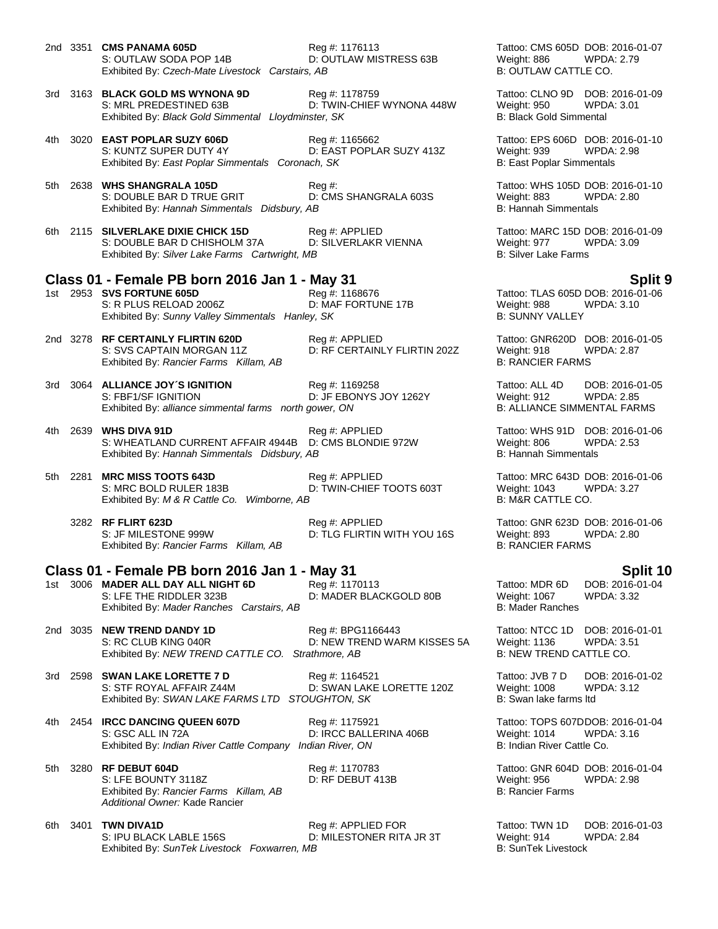|     |      | 2nd 3351 <b>CMS PANAMA 605D</b><br>S: OUTLAW SODA POP 14B<br>Exhibited By: Czech-Mate Livestock Carstairs, AB                                            | Reg #: 1176113<br>D: OUTLAW MISTRESS 63B         | Weight: 886<br>B: OUTLAW CATTLE CO.                                 | Tattoo: CMS 605D DOB: 2016-01-07<br><b>WPDA: 2.79</b>                    |
|-----|------|----------------------------------------------------------------------------------------------------------------------------------------------------------|--------------------------------------------------|---------------------------------------------------------------------|--------------------------------------------------------------------------|
|     |      | 3rd 3163 BLACK GOLD MS WYNONA 9D<br>S: MRL PREDESTINED 63B<br>Exhibited By: Black Gold Simmental Lloydminster, SK                                        | Reg #: 1178759<br>D: TWIN-CHIEF WYNONA 448W      | Weight: 950<br><b>B: Black Gold Simmental</b>                       | Tattoo: CLNO 9D DOB: 2016-01-09<br>WPDA: 3.01                            |
| 4th |      | 3020 EAST POPLAR SUZY 606D<br>S: KUNTZ SUPER DUTY 4Y<br>Exhibited By: East Poplar Simmentals Coronach, SK                                                | Reg #: 1165662<br>D: EAST POPLAR SUZY 413Z       | Weight: 939<br><b>B: East Poplar Simmentals</b>                     | Tattoo: EPS 606D DOB: 2016-01-10<br><b>WPDA: 2.98</b>                    |
| 5th |      | 2638 WHS SHANGRALA 105D<br>S: DOUBLE BAR D TRUE GRIT<br>Exhibited By: Hannah Simmentals Didsbury, AB                                                     | Reg #:<br>D: CMS SHANGRALA 603S                  | Weight: 883<br><b>B: Hannah Simmentals</b>                          | Tattoo: WHS 105D DOB: 2016-01-10<br><b>WPDA: 2.80</b>                    |
|     |      | 6th 2115 SILVERLAKE DIXIE CHICK 15D<br>S: DOUBLE BAR D CHISHOLM 37A<br>Exhibited By: Silver Lake Farms Cartwright, MB                                    | Reg #: APPLIED<br>D: SILVERLAKR VIENNA           | Weight: 977<br><b>B: Silver Lake Farms</b>                          | Tattoo: MARC 15D DOB: 2016-01-09<br>WPDA: 3.09                           |
|     |      |                                                                                                                                                          |                                                  |                                                                     |                                                                          |
|     |      | Class 01 - Female PB born 2016 Jan 1 - May 31<br>1st 2953 SVS FORTUNE 605D<br>S: R PLUS RELOAD 2006Z<br>Exhibited By: Sunny Valley Simmentals Hanley, SK | Reg #: 1168676<br>D: MAF FORTUNE 17B             | Weight: 988<br><b>B: SUNNY VALLEY</b>                               | <b>Split 9</b><br>Tattoo: TLAS 605D DOB: 2016-01-06<br><b>WPDA: 3.10</b> |
|     |      | 2nd 3278 RF CERTAINLY FLIRTIN 620D<br>S: SVS CAPTAIN MORGAN 11Z<br>Exhibited By: Rancier Farms Killam, AB                                                | Reg #: APPLIED<br>D: RF CERTAINLY FLIRTIN 202Z   | Weight: 918<br><b>B: RANCIER FARMS</b>                              | Tattoo: GNR620D DOB: 2016-01-05<br><b>WPDA: 2.87</b>                     |
| 3rd |      | 3064 ALLIANCE JOY'S IGNITION<br>S: FBF1/SF IGNITION<br>Exhibited By: alliance simmental farms north gower, ON                                            | Reg #: 1169258<br>D: JF EBONYS JOY 1262Y         | Tattoo: ALL 4D<br>Weight: 912<br><b>B: ALLIANCE SIMMENTAL FARMS</b> | DOB: 2016-01-05<br><b>WPDA: 2.85</b>                                     |
| 4th |      | 2639 WHS DIVA 91D<br>S: WHEATLAND CURRENT AFFAIR 4944B<br>Exhibited By: Hannah Simmentals Didsbury, AB                                                   | Reg #: APPLIED<br>D: CMS BLONDIE 972W            | Weight: 806<br><b>B: Hannah Simmentals</b>                          | Tattoo: WHS 91D DOB: 2016-01-06<br><b>WPDA: 2.53</b>                     |
| 5th | 2281 | <b>MRC MISS TOOTS 643D</b><br>S: MRC BOLD RULER 183B<br>Exhibited By: M & R Cattle Co. Wimborne, AB                                                      | Reg #: APPLIED<br>D: TWIN-CHIEF TOOTS 603T       | Weight: 1043<br>B: M&R CATTLE CO.                                   | Tattoo: MRC 643D DOB: 2016-01-06<br><b>WPDA: 3.27</b>                    |
|     |      | 3282 RF FLIRT 623D<br>S: JF MILESTONE 999W<br>Exhibited By: Rancier Farms Killam, AB                                                                     | Reg #: APPLIED<br>D: TLG FLIRTIN WITH YOU 16S    | Weight: 893<br><b>B: RANCIER FARMS</b>                              | Tattoo: GNR 623D DOB: 2016-01-06<br><b>WPDA: 2.80</b>                    |
|     |      | Class 01 - Female PB born 2016 Jan 1 - May 31                                                                                                            |                                                  |                                                                     | Split 10                                                                 |
| 1st |      | 3006 MADER ALL DAY ALL NIGHT 6D<br>S: LFE THE RIDDLER 323B<br>Exhibited By: Mader Ranches Carstairs, AB                                                  | Reg #: 1170113<br>D: MADER BLACKGOLD 80B         | Tattoo: MDR 6D<br>Weight: 1067<br>B: Mader Ranches                  | DOB: 2016-01-04<br>WPDA: 3.32                                            |
|     |      | 2nd 3035 NEW TREND DANDY 1D<br>S: RC CLUB KING 040R<br>Exhibited By: NEW TREND CATTLE CO. Strathmore, AB                                                 | Reg #: BPG1166443<br>D: NEW TREND WARM KISSES 5A | Tattoo: NTCC 1D<br>Weight: 1136<br>B: NEW TREND CATTLE CO.          | DOB: 2016-01-01<br><b>WPDA: 3.51</b>                                     |
|     |      | 3rd 2598 SWAN LAKE LORETTE 7 D<br>S: STF ROYAL AFFAIR Z44M<br>Exhibited By: SWAN LAKE FARMS LTD STOUGHTON, SK                                            | Reg #: 1164521<br>D: SWAN LAKE LORETTE 120Z      | Tattoo: JVB 7 D<br><b>Weight: 1008</b><br>B: Swan lake farms ltd    | DOB: 2016-01-02<br>WPDA: 3.12                                            |
| 4th |      | 2454 IRCC DANCING QUEEN 607D<br>S: GSC ALL IN 72A<br>Exhibited By: Indian River Cattle Company Indian River, ON                                          | Reg #: 1175921<br>D: IRCC BALLERINA 406B         | <b>Weight: 1014</b><br>B: Indian River Cattle Co.                   | Tattoo: TOPS 607DDOB: 2016-01-04<br><b>WPDA: 3.16</b>                    |
| 5th |      | 3280 RF DEBUT 604D<br>S: LFE BOUNTY 3118Z<br>Exhibited By: Rancier Farms Killam, AB<br>Additional Owner: Kade Rancier                                    | Reg #: 1170783<br>D: RF DEBUT 413B               | Weight: 956<br>B: Rancier Farms                                     | Tattoo: GNR 604D DOB: 2016-01-04<br><b>WPDA: 2.98</b>                    |
| 6th |      | 3401 TWN DIVA1D<br>S: IPU BLACK LABLE 156S                                                                                                               | Reg #: APPLIED FOR<br>D: MILESTONER RITA JR 3T   | Tattoo: TWN 1D<br>Weight: 914                                       | DOB: 2016-01-03<br><b>WPDA: 2.84</b>                                     |

Tattoo: TWN 1D DOB: 2016-01-03<br>Weight: 914 WPDA: 2.84 Weight: 914 Exhibited By: *SunTek Livestock Foxwarren, MB* B: SunTek Livestock **Bigger** B: SunTek Livestock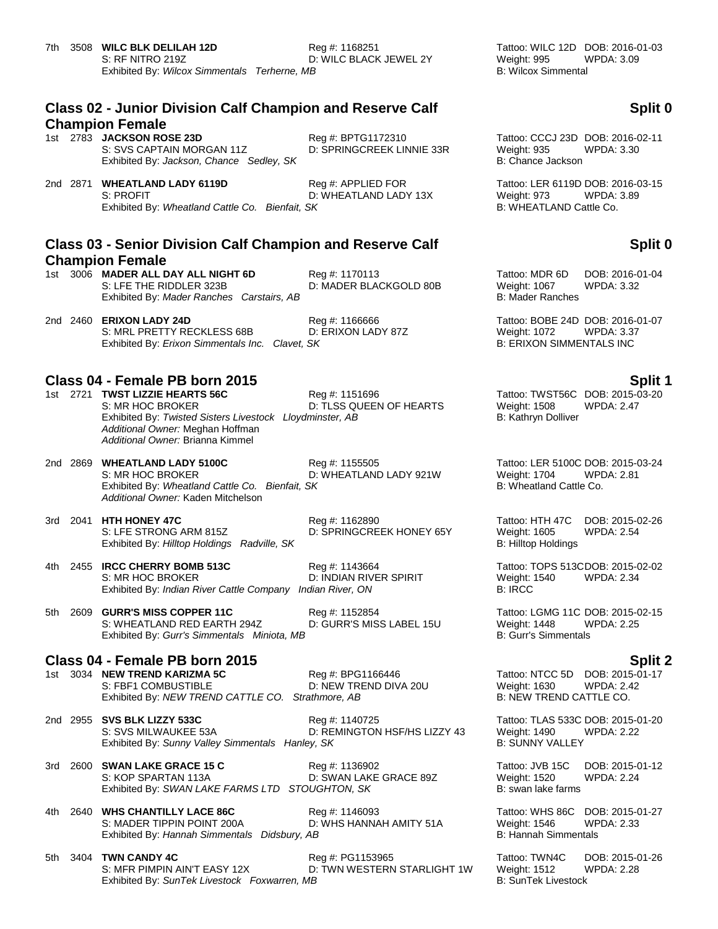### **Class 02 - Junior Division Calf Champion and Reserve Calf Champion Female**

1st 2783 **JACKSON ROSE 23D** Reg #: BPTG1172310 Tattoo: CCCJ 23D DOB: 2016-02-11<br>S: SVS CAPTAIN MORGAN 11Z D: SPRINGCREEK LINNIE 33R Weight: 935 WPDA: 3.30 S: SVS CAPTAIN MORGAN 11Z D: SPRINGCREEK LINNIE 33R Weight: 935<br>Exhibited By: Jackson, Chance Sedley, SK B: Chance Jackson Exhibited By: Jackson, Chance Sedley, SK

2nd 2871 **WHEATLAND LADY 6119D**<br>2nd 2871 **WHEATLAND FOR Tattoo: LER 6119D DOB: 2016-03-15**<br>2.89 B: PROFIT D: WHEATLAND LADY 13X Weight: 973 WPDA: 3.89 S: PROFIT<br>Exhibited By: Wheatland Cattle Co. Bienfait, SK BREATLAND LADY 13X B: WHEATLAND Cattle Co. Exhibited By: Wheatland Cattle Co. Bienfait, SK

### **Class 03 - Senior Division Calf Champion and Reserve Calf Champion Female**

1st 3006 **MADER ALL DAY ALL NIGHT 6D** Reg #: 1170113 Tattoo: MDR 6D DOB: 2016-01-04<br>S: LFE THE RIDDLER 323B D: MADER BLACKGOLD 80B Weight: 1067 WPDA: 3.32 Exhibited By: Mader Ranches Carstairs, AB

2nd 2460 **ERIXON LADY 24D** Reg #: 1166666 **Tattoo: BOBE 24D DOB: 2016-01-07** Reg #: 1166666 **Tattoo: BOBE 24D DOB: 2016-01-07**<br>S: MRL PRETTY RECKLESS 68B D: ERIXON LADY 87Z Weight: 1072 WPDA: 3.37 S: MRL PRETTY RECKLESS 68B D: ERIXON LADY 87Z Weight: 1072 WPDA: 3.37<br>Exhibited By: Erixon Simmentals Inc. Clavet. SK B: ERIXON SIMMENTALS INC Exhibited By: *Erixon Simmentals Inc. Clavet, SK* 

**Class 04 - Female PB born 2015 Split 1** S: MR HOC BROKER D: TLSS QUEEN OF HEARTS Weight: 1508 Exhibited By: Twisted Sisters Livestock Lloydminster, AB B: Kathryn Dolliver *Additional Owner:* Meghan Hoffman *Additional Owner:* Brianna Kimmel

2nd 2869 **WHEATLAND LADY 5100C** Reg #: 1155505 Tattoo: LER 5100C DOB: 2015-03-24 S: MR HOC BROKER D: WHEATLAND LADY 921W Weight: 1704 WPDA: 2.81 Exhibited By: *Wheatland Cattle Co. Bienfait, SK* B: Wheatland Cattle Co. *Additional Owner:* Kaden Mitchelson

3rd 2041 **HTH HONEY 47C** Reg #: 1162890 Tattoo: HTH 47C DOB: 2015-02-26 S: LFE STRONG ARM 815Z **D: SPRINGCREEK HONEY 65Y** Weight: 1605 WPDA: 2.54 Exhibited By: *Hilltop Holdings Radville, SK* B: Hilltop Holdings **B: Hilltop Holdings** 

4th 2455 **IRCC CHERRY BOMB 513C** Reg #: 1143664 Tattoo: TOPS 513CDOB: 2015-02-02 Exhibited By: *Indian River Cattle Company Indian River, ON* 

5th 2609 **GURR'S MISS COPPER 11C** Reg #: 1152854 Tattoo: LGMG 11C DOB: 2015-02-15<br>S: WHEATLAND RED EARTH 294Z D: GURR'S MISS LABEL 15U Weight: 1448 WPDA: 2.25 S: WHEATLAND RED EARTH 294Z D: GURR'S MISS LABEL 15U Weight: 1448 W<br>Exhibited By: Gurr's Simmentals Miniota. MB<br>B: 2.255 (Burlis Simmentals Exhibited By: Gurr's Simmentals Miniota, MB

### **Class 04 - Female PB born 2015 Split 2**

1st 3034 **NEW TREND KARIZMA 5C** Reg #: BPG1166446 Tattoo: NTCC 5D DOB: 2015-01-17 S: FBF1 COMBUSTIBLE D: NEW TREND DIVA 20U Weight: 1630 WPDA: 2.42 Exhibited By: *NEW TREND CATTLE CO.* Strathmore, AB B: NEW TREND CATTLE CO.

2nd 2955 **SVS BLK LIZZY 533C** Reg #: 1140725 Tattoo: TLAS 533C DOB: 2015-01-20 S: SVS MILWAUKEE 53A D: REMINGTON HSF/HS LIZZY 43 Weight: 1490 WPDA: 2.22 Exhibited By: *Sunny Valley Simmentals Hanley, SK* B: SUNNY VALLEY

3rd 2600 **SWAN LAKE GRACE 15 C** Reg #: 1136902 Tattoo: JVB 15C DOB: 2015-01-12 S: KOP SPARTAN 113A D: SWAN LAKE GRACE 89Z Weight: 1520 WPDA: 2.24 Exhibited By: *SWAN LAKE FARMS LTD* STOUGHTON, SK B: swan lake farms

4th 2640 **WHS CHANTILLY LACE 86C** Reg #: 1146093 Tattoo: WHS 86C DOB: 2015-01-27 S: MADER TIPPIN POINT 200A D: WHS HANNAH AMITY 51A Weight: 1546 WPDA: 2.33 Exhibited By: *Hannah Simmentals Didsbury, AB* B: Hannah Simmentals Bigger B: Hannah Simmentals

5th 3404 **TWN CANDY 4C** Reg #: PG1153965 Tattoo: TWN4C DOB: 2015-01-26<br>S: MFR PIMPIN AIN'T EASY 12X D: TWN WESTERN STARLIGHT 1W Weight: 1512 WPDA: 2.28 D: TWN WESTERN STARLIGHT 1W Weight: 1512 V<br>AB B: SunTek Livestock Exhibited By: SunTek Livestock Foxwarren, MB

### **Split 0**

### **Split 0**

D: MADER BLACKGOLD 80B Weight: 1067<br>B: Mader Ranches

1st 2721 Tattoo: TWST56C DOB: 2015-03-20<br>19 TLSS QUEEN OF HEARTS The Meight: 1508 WPDA: 2.47

S: MR HOC BROKER D: INDIAN RIVER SPIRIT Weight: 1540 WPDA: 2.34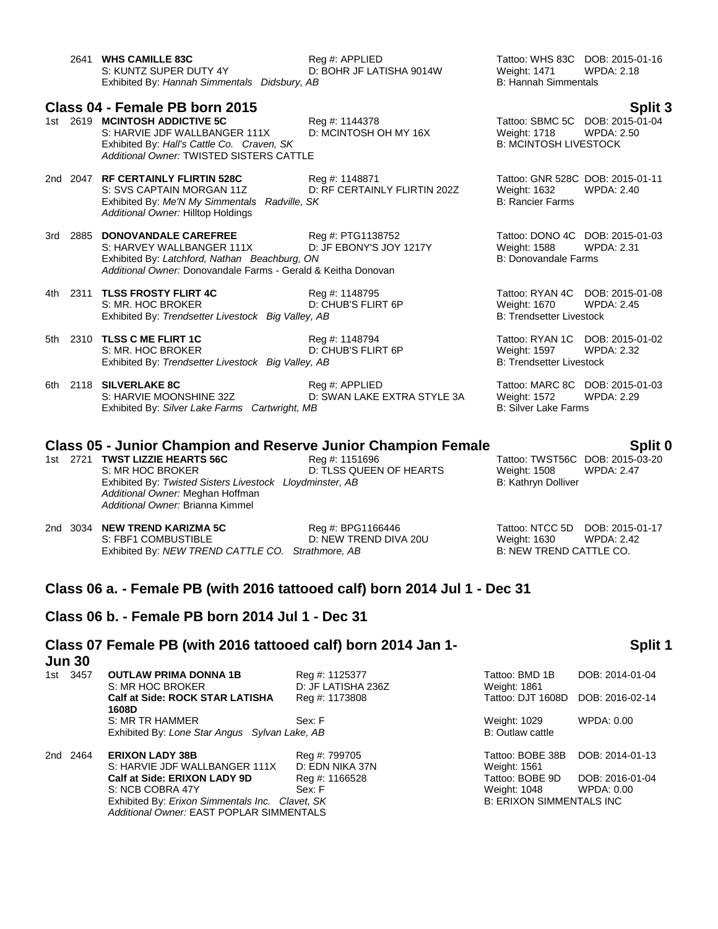|       | 2641 WHS CAMILLE 83C<br>S: KUNTZ SUPER DUTY 4Y<br>Exhibited By: Hannah Simmentals Didsbury, AB                                                                                          | Reg #: APPLIED<br>D: BOHR JF LATISHA 9014W     | <b>Weight: 1471</b><br><b>B: Hannah Simmentals</b>                                        | Tattoo: WHS 83C DOB: 2015-01-16<br><b>WPDA: 2.18</b>            |
|-------|-----------------------------------------------------------------------------------------------------------------------------------------------------------------------------------------|------------------------------------------------|-------------------------------------------------------------------------------------------|-----------------------------------------------------------------|
| 1st l | Class 04 - Female PB born 2015<br>2619 MCINTOSH ADDICTIVE 5C<br>S: HARVIE JDF WALLBANGER 111X<br>Exhibited By: Hall's Cattle Co. Craven, SK<br>Additional Owner: TWISTED SISTERS CATTLE | Reg #: 1144378<br>D: MCINTOSH OH MY 16X        | Weight: 1718<br><b>B: MCINTOSH LIVESTOCK</b>                                              | Split 3<br>Tattoo: SBMC 5C DOB: 2015-01-04<br><b>WPDA: 2.50</b> |
|       | 2nd 2047 RF CERTAINLY FLIRTIN 528C<br>S: SVS CAPTAIN MORGAN 11Z<br>Exhibited By: Me'N My Simmentals Radville, SK<br>Additional Owner: Hilltop Holdings                                  | Reg #: 1148871<br>D: RF CERTAINLY FLIRTIN 202Z | <b>Weight: 1632</b><br><b>B: Rancier Farms</b>                                            | Tattoo: GNR 528C DOB: 2015-01-11<br><b>WPDA: 2.40</b>           |
| 3rd   | 2885 DONOVANDALE CAREFREE<br>S: HARVEY WALLBANGER 111X<br>Exhibited By: Latchford, Nathan Beachburg, ON<br>Additional Owner: Donovandale Farms - Gerald & Keitha Donovan                | Reg #: PTG1138752<br>D: JF EBONY'S JOY 1217Y   | Weight: 1588<br><b>B: Donovandale Farms</b>                                               | Tattoo: DONO 4C DOB: 2015-01-03<br><b>WPDA: 2.31</b>            |
|       | 4th 2311 TLSS FROSTY FLIRT 4C<br>S: MR. HOC BROKER<br>Exhibited By: Trendsetter Livestock Big Valley, AB                                                                                | Reg #: 1148795<br>D: CHUB'S FLIRT 6P           | Tattoo: RYAN 4C DOB: 2015-01-08<br><b>Weight: 1670</b><br><b>B: Trendsetter Livestock</b> | <b>WPDA: 2.45</b>                                               |
|       | 5th 2310 TLSS C ME FLIRT 1C<br>S: MR. HOC BROKER<br>Exhibited By: Trendsetter Livestock Big Valley, AB                                                                                  | Reg #: 1148794<br>D: CHUB'S FLIRT 6P           | <b>Weight: 1597</b><br><b>B: Trendsetter Livestock</b>                                    | Tattoo: RYAN 1C DOB: 2015-01-02<br><b>WPDA: 2.32</b>            |
| 6th   | 2118 SILVERLAKE 8C<br>S: HARVIE MOONSHINE 32Z<br>Exhibited By: Silver Lake Farms Cartwright, MB                                                                                         | Reg #: APPLIED<br>D: SWAN LAKE EXTRA STYLE 3A  | <b>Weight: 1572</b><br><b>B: Silver Lake Farms</b>                                        | Tattoo: MARC 8C DOB: 2015-01-03<br><b>WPDA: 2.29</b>            |
|       | <b>Class 05 - Junior Champion and Reserve Junior Champion Female</b><br>1st 2721 TWST LIZZIE HEARTS 56C<br>S: MR HOC BROKER<br>Exhibited By: Twisted Sisters Livestock Lloydminster, AB | Reg #: 1151696<br>D: TLSS QUEEN OF HEARTS      | <b>Weight: 1508</b><br>B: Kathryn Dolliver                                                | Split 0<br>Tattoo: TWST56C DOB: 2015-03-20<br><b>WPDA: 2.47</b> |

*Additional Owner:* Meghan Hoffman *Additional Owner:* Brianna Kimmel 2nd 3034 **NEW TREND KARIZMA 5C** Reg #: BPG1166446 Tattoo: NTCC 5D DOB: 2015-01-17

S: FBF1 COMBUSTIBLE D: NEW TREND DIVA 20U Weight: 1630 WPDA: 2.42 Exhibited By: *NEW TREND CATTLE CO.* Strathmore, AB B: NEW TREND CATTLE CO.

### **Class 06 a. - Female PB (with 2016 tattooed calf) born 2014 Jul 1 - Dec 31**

### **Class 06 b. - Female PB born 2014 Jul 1 - Dec 31**

### **Class 07 Female PB (with 2016 tattooed calf) born 2014 Jan 1- Jun 30 Split 1**

| 1st. | 3457     | <b>OUTLAW PRIMA DONNA 1B</b><br>S: MR HOC BROKER                                            | Reg #: 1125377<br>D: JF LATISHA 236Z | Tattoo: BMD 1B<br>Weight: 1861   | DOB: 2014-01-04               |
|------|----------|---------------------------------------------------------------------------------------------|--------------------------------------|----------------------------------|-------------------------------|
|      |          | <b>Calf at Side: ROCK STAR LATISHA</b><br>1608D                                             | Reg #: 1173808                       | Tattoo: DJT 1608D                | DOB: 2016-02-14               |
|      |          | S: MR TR HAMMER<br>Exhibited By: Lone Star Angus Sylvan Lake, AB                            | Sex: F                               | Weight: 1029<br>B: Outlaw cattle | WPDA: 0.00                    |
|      | 2nd 2464 | <b>ERIXON LADY 38B</b><br>S: HARVIE JDF WALLBANGER 111X                                     | Reg #: 799705<br>D: EDN NIKA 37N     | Tattoo: BOBE 38B<br>Weight: 1561 | DOB: 2014-01-13               |
|      |          | Calf at Side: ERIXON LADY 9D<br>S: NCB COBRA 47Y                                            | Reg #: 1166528<br>Sex: F             | Tattoo: BOBE 9D<br>Weight: 1048  | DOB: 2016-01-04<br>WPDA: 0.00 |
|      |          | Exhibited By: Erixon Simmentals Inc. Clavet, SK<br>Additional Owner: EAST POPLAR SIMMENTALS |                                      | <b>B: ERIXON SIMMENTALS INC</b>  |                               |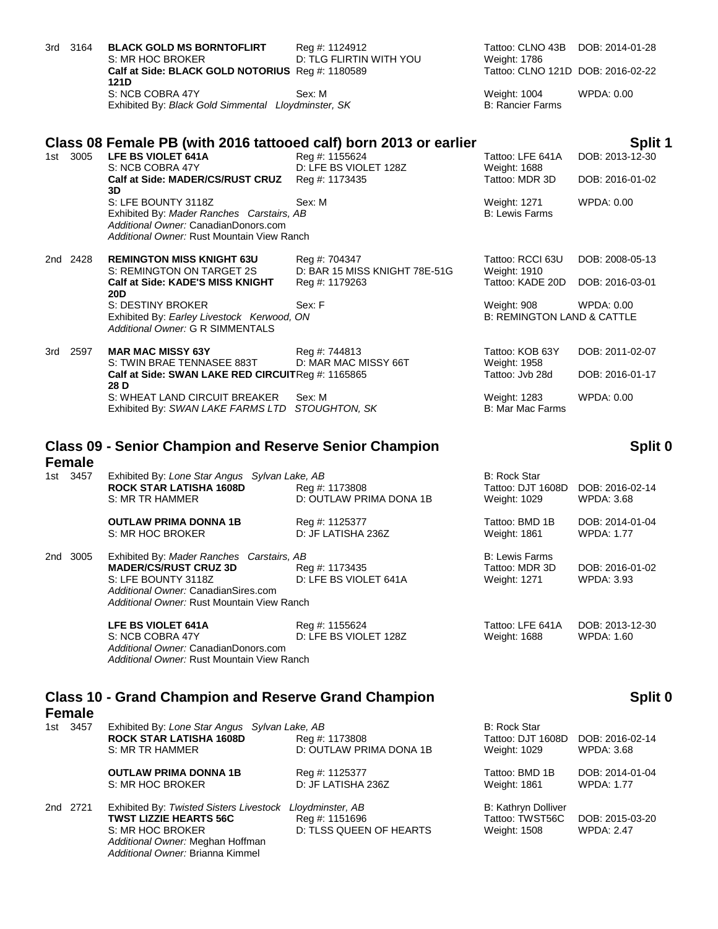|     | 3rd 3164 | <b>BLACK GOLD MS BORNTOFLIRT</b><br>S: MR HOC BROKER<br>Calf at Side: BLACK GOLD NOTORIUS Req #: 1180589<br>121D                                       | Reg #: 1124912<br><b>D: TLG FLIRTIN WITH YOU</b>                 | Tattoo: CLNO 43B<br>Weight: 1786<br>Tattoo: CLNO 121D DOB: 2016-02-22 | DOB: 2014-01-28                    |
|-----|----------|--------------------------------------------------------------------------------------------------------------------------------------------------------|------------------------------------------------------------------|-----------------------------------------------------------------------|------------------------------------|
|     |          | S: NCB COBRA 47Y<br>Exhibited By: Black Gold Simmental Lloydminster, SK                                                                                | Sex: M                                                           | Weight: 1004<br><b>B: Rancier Farms</b>                               | <b>WPDA: 0.00</b>                  |
|     |          | Class 08 Female PB (with 2016 tattooed calf) born 2013 or earlier                                                                                      |                                                                  |                                                                       | Split 1                            |
|     | 1st 3005 | LFE BS VIOLET 641A<br>S: NCB COBRA 47Y                                                                                                                 | Reg #: 1155624<br>D: LFE BS VIOLET 128Z                          | Tattoo: LFE 641A<br>Weight: 1688                                      | DOB: 2013-12-30                    |
|     |          | Calf at Side: MADER/CS/RUST CRUZ<br>3D                                                                                                                 | Reg #: 1173435                                                   | Tattoo: MDR 3D                                                        | DOB: 2016-01-02                    |
|     |          | S: LFE BOUNTY 3118Z<br>Exhibited By: Mader Ranches Carstairs, AB<br>Additional Owner: CanadianDonors.com<br>Additional Owner: Rust Mountain View Ranch | Sex: M                                                           | Weight: 1271<br><b>B: Lewis Farms</b>                                 | WPDA: 0.00                         |
|     | 2nd 2428 | <b>REMINGTON MISS KNIGHT 63U</b><br>S: REMINGTON ON TARGET 2S<br>Calf at Side: KADE'S MISS KNIGHT<br><b>20D</b>                                        | Reg #: 704347<br>D: BAR 15 MISS KNIGHT 78E-51G<br>Reg #: 1179263 | Tattoo: RCCI 63U<br>Weight: 1910<br>Tattoo: KADE 20D                  | DOB: 2008-05-13<br>DOB: 2016-03-01 |
|     |          | S: DESTINY BROKER<br>Exhibited By: Earley Livestock Kerwood, ON<br>Additional Owner: G R SIMMENTALS                                                    | Sex: F                                                           | Weight: 908<br><b>B: REMINGTON LAND &amp; CATTLE</b>                  | WPDA: 0.00                         |
| 3rd | 2597     | <b>MAR MAC MISSY 63Y</b><br>S: TWIN BRAE TENNASEE 883T                                                                                                 | Reg #: 744813<br>D: MAR MAC MISSY 66T                            | Tattoo: KOB 63Y<br>Weight: 1958                                       | DOB: 2011-02-07                    |
|     |          | Calf at Side: SWAN LAKE RED CIRCUITReq #: 1165865<br>28 D                                                                                              |                                                                  | Tattoo: Jyb 28d                                                       | DOB: 2016-01-17                    |
|     |          | S: WHEAT LAND CIRCUIT BREAKER<br>Exhibited By: SWAN LAKE FARMS LTD                                                                                     | Sex: M<br>STOUGHTON, SK                                          | Weight: 1283<br><b>B: Mar Mac Farms</b>                               | WPDA: 0.00                         |

# **Class 09 - Senior Champion and Reserve Senior Champion**

### **Female**<br>1st 3457 Exhibited By: *Lone Star Angus Sylvan Lake, AB* B: Rock Star **ROCK STAR LATISHA 1608D** Req #: 1173808 **ROCK STAR LATISHA 1608D** Reg #: 1173808 Tattoo: DJT 1608D DOB: 2016-02-14<br>S: MR TR HAMMER D: OUTLAW PRIMA DONA 1B Weight: 1029 WPDA: 3.68 D: OUTLAW PRIMA DONA 1B **OUTLAW PRIMA DONNA 1B** Reg #: 1125377 Tattoo: BMD 1B DOB: 2014-01-04<br>
S: MR HOC BROKER D: JF LATISHA 236Z Weight: 1861 WPDA: 1.77 S: MR HOC BROKER 2nd 3005 Exhibited By: *Mader Ranches Carstairs, AB* B: Lewis Farms B: Lewis Farms **MADER/CS/RUST CRUZ 3D** Reg #: 1173435 Tattoo: MDR 3D DOB: 2016-01-02<br>
S: LFE BOUNTY 3118Z D: LFE BS VIOLET 641A Weight: 1271 WPDA: 3.93 D: LFE BS VIOLET 641A *Additional Owner:* CanadianSires.com *Additional Owner:* Rust Mountain View Ranch **LFE BS VIOLET 641A** Reg #: 1155624 Tattoo: LFE 641A DOB: 2013-12-30

| LEE BS VIULET 04TA                         | $Rey \# 1130024$      | Talloo: LFE 64TA | DUB: 2013-12- |
|--------------------------------------------|-----------------------|------------------|---------------|
| S: NCB COBRA 47Y                           | D: LFE BS VIOLET 128Z | Weiaht: 1688     | WPDA: 1.60    |
| Additional Owner: CanadianDonors.com       |                       |                  |               |
| Additional Owner: Rust Mountain View Ranch |                       |                  |               |
|                                            |                       |                  |               |

### **Class 10 - Grand Champion and Reserve Grand Champion Female**

*Additional Owner:* Brianna Kimmel

| 1st 3457 | Exhibited By: Lone Star Angus Sylvan Lake, AB<br><b>ROCK STAR LATISHA 1608D</b><br>S: MR TR HAMMER                                                | Reg #: 1173808<br>D: OUTLAW PRIMA DONA 1B | <b>B: Rock Star</b><br>Tattoo: DJT 1608D<br>Weight: 1029      | DOB: 2016-02-14<br>WPDA: 3.68        |
|----------|---------------------------------------------------------------------------------------------------------------------------------------------------|-------------------------------------------|---------------------------------------------------------------|--------------------------------------|
|          | <b>OUTLAW PRIMA DONNA 1B</b><br>S: MR HOC BROKER                                                                                                  | Reg #: 1125377<br>D: JF LATISHA 236Z      | Tattoo: BMD 1B<br>Weight: 1861                                | DOB: 2014-01-04<br><b>WPDA: 1.77</b> |
| 2nd 2721 | Exhibited By: Twisted Sisters Livestock Lloydminster, AB<br><b>TWST LIZZIE HEARTS 56C</b><br>S: MR HOC BROKER<br>Additional Owner: Meghan Hoffman | Reg #: 1151696<br>D: TLSS QUEEN OF HEARTS | <b>B: Kathryn Dolliver</b><br>Tattoo: TWST56C<br>Weight: 1508 | DOB: 2015-03-20<br><b>WPDA: 2.47</b> |

### **Split 0**

**Split 0**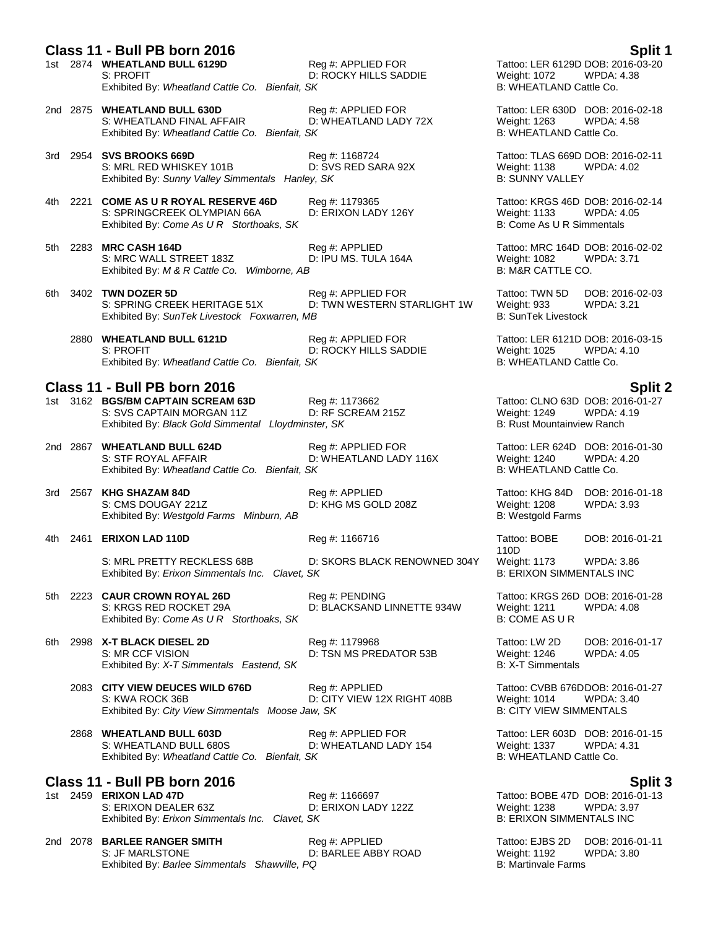### **Class 11 - Bull PB born 2016 Split 1**

- 1st 2874 **WHEATLAND BULL 6129D** Reg #: APPLIED FOR Tattoo: LER 6129D DOB: 2016-03-20 S: PROFIT **D: ROCKY HILLS SADDIE** Weight: 1072 WPDA: 4.38 Exhibited By: *Wheatland Cattle Co. Bienfait. SK* B: WHEATLAND Cattle Co.
- 2nd 2875 **WHEATLAND BULL 630D** Reg #: APPLIED FOR Tattoo: LER 630D DOB: 2016-02-18<br>S: WHEATLAND FINAL AFFAIR D: WHEATLAND LADY 72X Weight: 1263 WPDA: 4.58 S: WHEATLAND FINAL AFFAIR D: WHEATLAND LADY 72X Weight: 1263 WPDA:<br>Exhibited By: Wheatland Cattle Co. Bienfait, SK MEATLAND Cattle Co. Exhibited By: Wheatland Cattle Co. Bienfait, SK
- 3rd 2954 **SVS BROOKS 669D**<br>3rd 2954 **SVS BROOKS 669D**<br>3rd 2016-02-11 S: MRL RED WHISKEY 101B **DE SARA 92X** Weight: 1138 WPDA: 4.02 S: MRL RED WHISKEY 101B D: SVS RED SARA 92X Weight: 1138<br>Exhibited By: *Sunny Valley Simmentals Hanley, SK* B: SUNNY VALLEY Exhibited By: Sunny Valley Simmentals Hanley, SK
- 4th 2221 **COME AS U R ROYAL RESERVE 46D** Reg #: 1179365 Tattoo: KRGS 46D DOB: 2016-02-14 S: SPRINGCREEK OLYMPIAN 66A D: ERIXON LADY 126Y Weight: 1133 WPDA: 4.05<br>Exhibited By: Come As U R Storthoaks, SK B: Come As U R Simmentals Exhibited By: Come As U R Storthoaks, SK
	-
- 5th 2283 **MRC CASH 164D Reg #: APPLIED CASH 164D COST ARE 164D DOB**: 2016-02-02<br>S: MRC WALL STREET 183Z **D: IPU MS. TULA 164A** Weight: 1082 WPDA: 3.71 S: MRC WALL STREET 183Z D: IPU MS. TULA 164A Weight: 1082 W<br>Exhibited By: M & R Cattle Co. Wimborne. AB<br>B: M&R CATTLE CO. Exhibited By: M & R Cattle Co. Wimborne, AB
- 6th 3402 **TWN DOZER 5D** Reg #: APPLIED FOR Tattoo: TWN 5D DOB: 2016-02-03<br>S: SPRING CREEK HERITAGE 51X D: TWN WESTERN STARLIGHT 1W Weight: 933 WPDA: 3.21 D: TWN WESTERN STARLIGHT 1W Exhibited By: *SunTek Livestock Foxwarren, MB* B: SunTek Livestock Foxwarren, MB
	- 2880 **WHEATLAND BULL 6121D** Reg #: APPLIED FOR Tattoo: LER 6121D DOB: 2016-03-15<br>S: PROFIT D: ROCKY HILLS SADDIE Weight: 1025 WPDA: 4.10 S: PROFIT **D: ROCKY HILLS SADDIE** Weight: 1025 WPDA: 4.10 Exhibited By: Wheatland Cattle Co. Bienfait, SK B: WHEATLAND Cattle Co.

- **Class 11 - Bull PB born 2016 Split 2** 1st 3162 **BGS/BM CAPTAIN SCREAM 63D** Reg #: 1173662 **Tattoo: CLNO 63D DOB: 2016-0**<br>S: SVS CAPTAIN MORGAN 11Z D: RF SCREAM 215Z Weight: 1249 WPDA: 4.19 S: SVS CAPTAIN MORGAN 11Z D: RF SCREAM 215Z<br>
Exhibited By: Black Gold Simmental Lloydminster, SK B: Rust Mountainview Ranch Exhibited By: *Black Gold Simmental Lloydminster, SK*
- 2nd 2867 **WHEATLAND BULL 624D** Reg #: APPLIED FOR Tattoo: LER 624D DOB: 2016-01-30<br>S: STF ROYAL AFFAIR D: WHEATLAND LADY 116X Weight: 1240 WPDA: 4.20 Exhibited By: Wheatland Cattle Co. Bienfait, SK
- 3rd 2567 **KHG SHAZAM 84D** Reg #: APPLIED Tattoo: KHG 84D DOB: 2016-01-18 S: CMS DOUGAY 221Z D: KHG MS GOLD 208Z Weight: 1208 WPDA: 3.93 Exhibited By: Westgold Farms Minburn, AB
- 4th 2461 **ERIXON LAD 110D** Reg #: 1166716 Tattoo: BOBE
	- S: MRL PRETTY RECKLESS 68B D: SKORS BLACK RENOWNED 304Y Weight: 1173 WPDA: 3.86<br>Exhibited By: Erixon Simmentals Inc. Clavet, SK Exhibited By: *Erixon Simmentals Inc. Clavet, SK*
- 5th 2223 **CAUR CROWN ROYAL 26D** Reg #: PENDING Tattoo: KRGS 26D DOB: 2016-01-28 S: KRGS RED ROCKET 29A D: BLACKSAND LINNETTE 934W Weight: 1211 WPDA: 4.08 Exhibited By: *Come As U R* Storthoaks, SK B: COME AS U R
- 6th 2998 **X-T BLACK DIESEL 2D** Reg #: 1179968 Tattoo: LW 2D DOB: 2016-01-17 S: MR CCF VISION D: TSN MS PREDATOR 53B Weight: 1246 WPDA: 4.05<br>Exhibited By: X-T Simmentals Eastend, SK B: X-T Simmentals Exhibited By: *X-T Simmentals Eastend, SK* 
	- 2083 **CITY VIEW DEUCES WILD 676D** Reg #: APPLIED Tattoo: CVBB 676DDOB: 2016-01-27 S: KWA ROCK 36B D: CITY VIEW 12X RIGHT 408B Weight: 1014 WPDA: 3.40<br>Exhibited By: *City View Simmentals Moose Jaw, SK* B: CITY VIEW SIMMENTALS Exhibited By: City View Simmentals Moose Jaw, SK
	- 2868 **WHEATLAND BULL 603D** Reg #: APPLIED FOR Tattoo: LER 603D DOB: 2016-01-15<br>S: WHEATLAND BULL 680S D: WHEATLAND LADY 154 Weight: 1337 WPDA: 4.31 S: WHEATLAND BULL 680S **D: WHEATLAND LADY 154** Weight: 1337 WPDA:<br>Exhibited By: Wheatland Cattle Co. Bienfait. SK **B.** 4.311 B: WHEATLAND Cattle Co. Exhibited By: Wheatland Cattle Co. Bienfait, SK

### **Class 11 - Bull PB born 2016 Split 3**

1st 2459 **ERIXON LAD 47D** Req #: 1166697 **Reg #: 1166697** Tattoo: BOBE 47D DOB: 2016-01-13 S: ERIXON DEALER 63Z D: ERIXON LADY 122Z Weight: 1238 WPDA: 3.97 Exhibited By: *Erixon Simmentals Inc. Clavet, SK* B: ERIXON SIMMENTALS INC

2nd 2078 **BARLEE RANGER SMITH** Reg #: APPLIED Tattoo: EJBS 2D DOB: 2016-01-11 S: JF MARLSTONE **D: BARLEE ABBY ROAD** Weight: 1192 WPDA: 3.80<br>Exhibited By: *Barlee Simmentals Shawville. PQ* B: Martinvale Farms **B:** Martinvale Farms Exhibited By: Barlee Simmentals Shawville, PQ

- 
- 
- 
- 
- 
- 
- 

S: STF ROYAL AFFAIR D: WHEATLAND LADY 116X Weight: 1240 WPDA: 4.20

110D DOB: 2016-01-21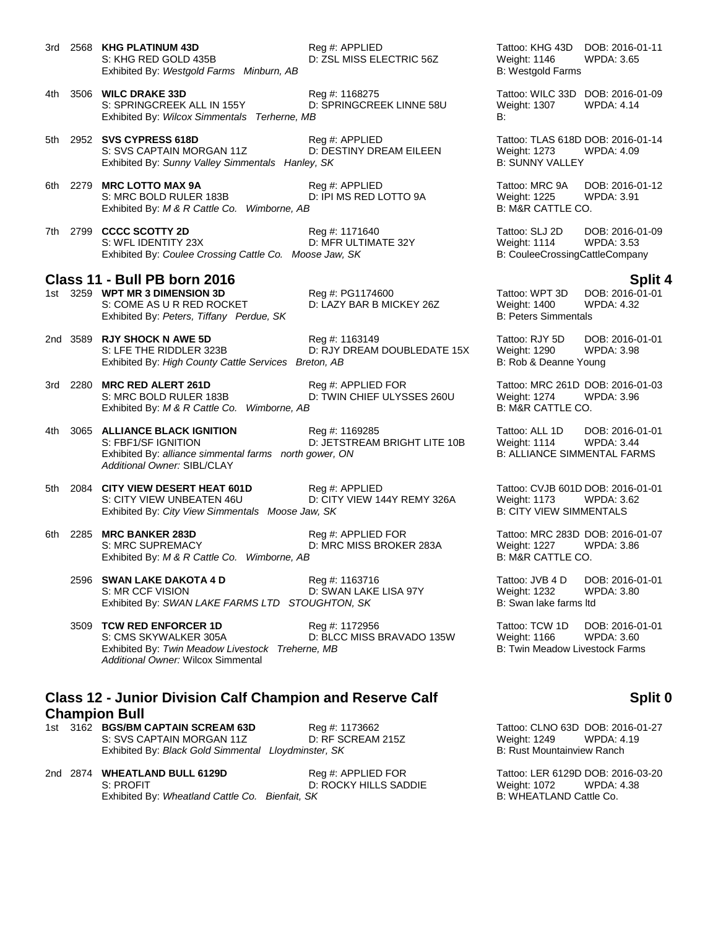3rd 2568 **KHG PLATINUM 43D** Reg #: APPLIED **Tattoo: KHG 43D DOB: 2016-01-11**<br>S: KHG RED GOLD 435B D: ZSL MISS ELECTRIC 56Z Weight: 1146 WPDA: 3.65 Exhibited By: Westgold Farms Minburn, AB B: Westgold Farms Minburn, AB

D: ZSL MISS ELECTRIC 56Z Weight: 1146

- 4th 3506 **WILC DRAKE 33D** Reg #: 1168275 Tattoo: WILC 33D DOB: 2016-01-09 S: SPRINGCREEK ALL IN 155Y D: SPRINGCREEK LINNE 58U Weight: 1307 WPDA: 4.14 Exhibited By: *Wilcox Simmentals Terherne, MB* B:
- 5th 2952 **SVS CYPRESS 618D** Reg #: APPLIED Tattoo: TLAS 618D DOB: 2016-01-14 S: SVS CAPTAIN MORGAN 11Z D: DESTINY DREAM EILEEN Weight: 1273 WPDA: 4.09<br>Exhibited By: Sunny Valley Simmentals Hanley, SK B: SUNNY VALLEY Exhibited By: Sunny Valley Simmentals Hanley, SK
- 6th 2279 **MRC LOTTO MAX 9A** Reg #: APPLIED Tattoo: MRC 9A DOB: 2016-01-12 S: MRC BOLD RULER 183B D: IPI MS RED LOTTO 9A Weight: 1225 WPDA: 3.91<br>
Exhibited By: M & R Cattle Co. Wimborne, AB B: M&R CATTLE CO. Exhibited By: M & R Cattle Co. Wimborne, AB
- 7th 2799 **CCCC SCOTTY 2D** Reg #: 1171640 Tattoo: SLJ 2D DOB: 2016-01-09 S: WFL IDENTITY 23X D: MFR ULTIMATE 32Y Weight: 1114 WPDA: 3.53<br>Exhibited By: Coulee Crossing Cattle Co. Moose Jaw, SK B: CouleeCrossingCattleCompany Exhibited By: Coulee Crossing Cattle Co. Moose Jaw, SK

# **Class 11 - Bull PB born 2016 Split 4**

1st 3259 **WPT MR 3 DIMENSION 3D** Reg #: PG1174600 Reg **#: PG1174600** Tattoo: WPT 3D DOB: 2016-0<br>S: COME AS U R RED ROCKET D: LAZY BAR B MICKEY 26Z Weight: 1400 WPDA: 4.32 Exhibited By: Peters, Tiffany Perdue, SK

D: LAZY BAR B MICKEY 26Z Weight: 1400 W<br>B: Peters Simmentals

- 2nd 3589 **RJY SHOCK N AWE 5D** Reg #: 1163149 Tattoo: RJY 5D DOB: 2016-01-01 S: LFE THE RIDDLER 323B D: RJY DREAM DOUBLEDATE 15X Weight: 1290 WPDA: 3.98 Exhibited By: *High County Cattle Services Breton, AB* B: Rob & Deanne Young
- 3rd 2280 **MRC RED ALERT 261D** Reg #: APPLIED FOR Tattoo: MRC 261D DOB: 2016-01-03 S: MRC BOLD RULER 183B D: TWIN CHIEF ULYSSES 260U Weight: 1274 WPDA: 3.96 Exhibited By: *M & R Cattle Co. Wimborne, AB* B: M&R CATTLE CO.
- 4th 3065 **ALLIANCE BLACK IGNITION** Reg #: 1169285 Tattoo: ALL 1D DOB: 2016-01-01 S: FBF1/SF IGNITION **D: JETSTREAM BRIGHT LITE 10B** Weight: 1114 WPDA: 3.44<br>Exhibited By: alliance simmental farms north gower. ON **B**: ALLIANCE SIMMENTAL FARMS Exhibited By: *alliance simmental farms north gower, ON Additional Owner:* SIBL/CLAY
- 5th 2084 **CITY VIEW DESERT HEAT 601D** Reg #: APPLIED **Tattoo: CVJB 601D DOB: 2016-01-01**<br>S: CITY VIEW UNBEATEN 46U D: CITY VIEW 144Y REMY 326A Weight: 1173 WPDA: 3.62 Exhibited By: City View Simmentals Moose Jaw, SK
- 6th 2285 **MRC BANKER 283D** Reg #: APPLIED FOR Tattoo: MRC 283D DOB: 2016-01-07 S: MRC SUPREMACY D: MRC MISS BROKER 283A Weight: 1227 WPDA: 3.86 Exhibited By: *M & R Cattle Co. Wimborne, AB* B: M&R CATTLE CO.
	- 2596 **SWAN LAKE DAKOTA 4 D** Reg #: 1163716 Tattoo: JVB 4 D DOB: 2016-01-01 S: MR CCF VISION D: SWAN LAKE LISA 97Y Weight: 1232 WPDA: 3.80 Exhibited By: *SWAN LAKE FARMS LTD* STOUGHTON, SK B: Swan lake farms ltd
	- 3509 **TCW RED ENFORCER 1D** Req #: 1172956 Tattoo: TCW 1D DOB: 2016-01-01 S: CMS SKYWALKER 305A **D: BLCC MISS BRAVADO 135W** Weight: 1166 WPDA: 3.60 Exhibited By: *Twin Meadow Livestock Treherne, MB* B: Twin Meadow Livestock Farms *Additional Owner:* Wilcox Simmental

### **Class 12 - Junior Division Calf Champion and Reserve Calf Champion Bull**

- 1st 3162 **BGS/BM CAPTAIN SCREAM 63D** Reg #: 1173662 Tattoo: CLNO 63D DOB: 2016-01-27 S: SVS CAPTAIN MORGAN 11Z D: RF SCREAM 215Z<br>
Exhibited By: *Black Gold Simmental Lloydminster, SK* B: Rust Mountainview Ranch Exhibited By: *Black Gold Simmental Lloydminster, SK*
- 2nd 2874 **WHEATLAND BULL 6129D** Reg #: APPLIED FOR Tattoo: LER 6129D DOB: 2016-03-20 S: PROFIT<br>Exhibited By: Wheatland Cattle Co. Bienfait. SK CCKY HILLS SADDIE B: WHEATLAND Cattle Co. Exhibited By: Wheatland Cattle Co. Exhibited By: Wheatland Cattle Co. Bienfait, SK

D: CITY VIEW 144Y REMY 326A Weight: 1173 WPDA: 3.<br>aw, SK B: CITY VIEW SIMMENTALS

### **Split 0**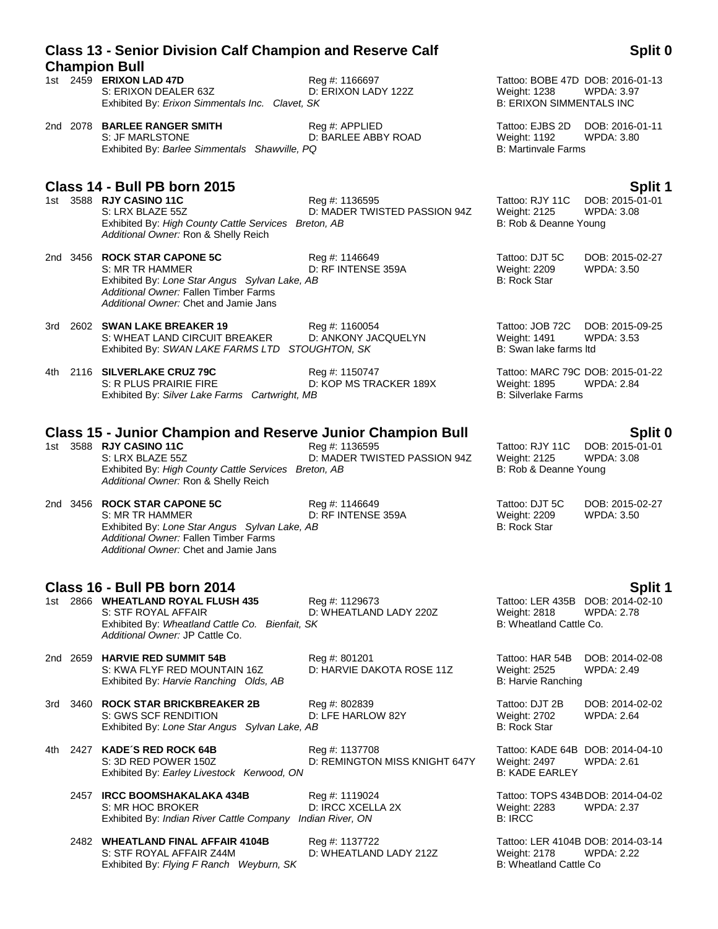|     | <b>Champion Bull</b>                                                                                                                                                               |                                                 |                                                                                            |                                      |
|-----|------------------------------------------------------------------------------------------------------------------------------------------------------------------------------------|-------------------------------------------------|--------------------------------------------------------------------------------------------|--------------------------------------|
|     | 1st 2459 ERIXON LAD 47D<br>S: ERIXON DEALER 63Z<br>Exhibited By: Erixon Simmentals Inc. Clavet, SK                                                                                 | Reg #: 1166697<br>D: ERIXON LADY 122Z           | Tattoo: BOBE 47D DOB: 2016-01-13<br><b>Weight: 1238</b><br><b>B: ERIXON SIMMENTALS INC</b> | <b>WPDA: 3.97</b>                    |
|     | 2nd 2078 BARLEE RANGER SMITH<br>S: JF MARLSTONE<br>Exhibited By: Barlee Simmentals Shawville, PQ                                                                                   | Reg #: APPLIED<br>D: BARLEE ABBY ROAD           | Tattoo: EJBS 2D<br><b>Weight: 1192</b><br><b>B: Martinvale Farms</b>                       | DOB: 2016-01-11<br>WPDA: 3.80        |
|     | Class 14 - Bull PB born 2015                                                                                                                                                       |                                                 |                                                                                            | Split 1                              |
|     | 1st 3588 RJY CASINO 11C<br>S: LRX BLAZE 55Z<br>Exhibited By: High County Cattle Services Breton, AB<br>Additional Owner: Ron & Shelly Reich                                        | Reg #: 1136595<br>D: MADER TWISTED PASSION 94Z  | Tattoo: RJY 11C<br>Weight: 2125<br>B: Rob & Deanne Young                                   | DOB: 2015-01-01<br><b>WPDA: 3.08</b> |
|     | 2nd 3456 ROCK STAR CAPONE 5C<br>S: MR TR HAMMER<br>Exhibited By: Lone Star Angus Sylvan Lake, AB<br>Additional Owner: Fallen Timber Farms<br>Additional Owner: Chet and Jamie Jans | Reg #: 1146649<br>D: RF INTENSE 359A            | Tattoo: DJT 5C<br>Weight: 2209<br><b>B: Rock Star</b>                                      | DOB: 2015-02-27<br>WPDA: 3.50        |
| 3rd | 2602 SWAN LAKE BREAKER 19<br>S: WHEAT LAND CIRCUIT BREAKER<br>Exhibited By: SWAN LAKE FARMS LTD STOUGHTON, SK                                                                      | Reg #: 1160054<br>D: ANKONY JACQUELYN           | Tattoo: JOB 72C<br>Weight: 1491<br>B: Swan lake farms ltd                                  | DOB: 2015-09-25<br><b>WPDA: 3.53</b> |
| 4th | 2116 SILVERLAKE CRUZ 79C<br>S: R PLUS PRAIRIE FIRE<br>Exhibited By: Silver Lake Farms Cartwright, MB                                                                               | Reg #: 1150747<br>D: KOP MS TRACKER 189X        | Tattoo: MARC 79C DOB: 2015-01-22<br>Weight: 1895<br><b>B: Silverlake Farms</b>             | <b>WPDA: 2.84</b>                    |
|     | <b>Class 15 - Junior Champion and Reserve Junior Champion Bull</b>                                                                                                                 |                                                 |                                                                                            | Split 0                              |
|     | 1st 3588 RJY CASINO 11C<br>S: LRX BLAZE 55Z<br>Exhibited By: High County Cattle Services Breton, AB<br>Additional Owner: Ron & Shelly Reich                                        | Reg #: 1136595<br>D: MADER TWISTED PASSION 94Z  | Tattoo: RJY 11C<br>Weight: 2125<br>B: Rob & Deanne Young                                   | DOB: 2015-01-01<br><b>WPDA: 3.08</b> |
|     | 2nd 3456 ROCK STAR CAPONE 5C<br>S: MR TR HAMMER<br>Exhibited By: Lone Star Angus Sylvan Lake, AB<br>Additional Owner: Fallen Timber Farms<br>Additional Owner: Chet and Jamie Jans | Reg #: 1146649<br>D: RF INTENSE 359A            | Tattoo: DJT 5C<br>Weight: 2209<br><b>B: Rock Star</b>                                      | DOB: 2015-02-27<br><b>WPDA: 3.50</b> |
|     | Class 16 - Bull PB born 2014                                                                                                                                                       |                                                 |                                                                                            | Split 1                              |
|     | 1st 2866 WHEATLAND ROYAL FLUSH 435<br>S: STF ROYAL AFFAIR<br>Exhibited By: Wheatland Cattle Co. Bienfait, SK<br>Additional Owner: JP Cattle Co.                                    | Reg #: 1129673<br>D: WHEATLAND LADY 220Z        | Tattoo: LER 435B DOB: 2014-02-10<br><b>Weight: 2818</b><br>B: Wheatland Cattle Co.         | <b>WPDA: 2.78</b>                    |
|     | 2nd 2659 HARVIE RED SUMMIT 54B<br>S: KWA FLYF RED MOUNTAIN 16Z<br>Exhibited By: Harvie Ranching Olds, AB                                                                           | Reg #: 801201<br>D: HARVIE DAKOTA ROSE 11Z      | Tattoo: HAR 54B<br>Weight: 2525<br>B: Harvie Ranching                                      | DOB: 2014-02-08<br>WPDA: 2.49        |
| 3rd | 3460 ROCK STAR BRICKBREAKER 2B<br>S: GWS SCF RENDITION<br>Exhibited By: Lone Star Angus Sylvan Lake, AB                                                                            | Reg #: 802839<br>D: LFE HARLOW 82Y              | Tattoo: DJT 2B<br>Weight: 2702<br><b>B: Rock Star</b>                                      | DOB: 2014-02-02<br>WPDA: 2.64        |
| 4th | 2427 KADE'S RED ROCK 64B<br>S: 3D RED POWER 150Z<br>Exhibited By: Earley Livestock Kerwood, ON                                                                                     | Reg #: 1137708<br>D: REMINGTON MISS KNIGHT 647Y | Tattoo: KADE 64B DOB: 2014-04-10<br>Weight: 2497<br><b>B: KADE EARLEY</b>                  | <b>WPDA: 2.61</b>                    |
|     | 2457 IRCC BOOMSHAKALAKA 434B<br>S: MR HOC BROKER<br>Exhibited By: Indian River Cattle Company Indian River, ON                                                                     | Reg #: 1119024<br>D: IRCC XCELLA 2X             | Tattoo: TOPS 434BDOB: 2014-04-02<br>Weight: 2283<br><b>B: IRCC</b>                         | <b>WPDA: 2.37</b>                    |
|     | 2482 WHEATLAND FINAL AFFAIR 4104B<br>S: STF ROYAL AFFAIR Z44M                                                                                                                      | Reg #: 1137722<br>D: WHEATLAND LADY 212Z        | Tattoo: LER 4104B DOB: 2014-03-14<br>Weight: 2178                                          | <b>WPDA: 2.22</b>                    |

# **Class 13 - Senior Division Calf Champion and Reserve Calf**

Exhibited By: *Flying F Ranch Weyburn, SK* B: Wheatland Cattle Company of B: Wheatland Cattle Company of B: Wheatland Cattle Company of B: Wheatland Cattle Company of B: Wheatland Cattle Company of B: Wheatland Cattle Comp

**Split 0**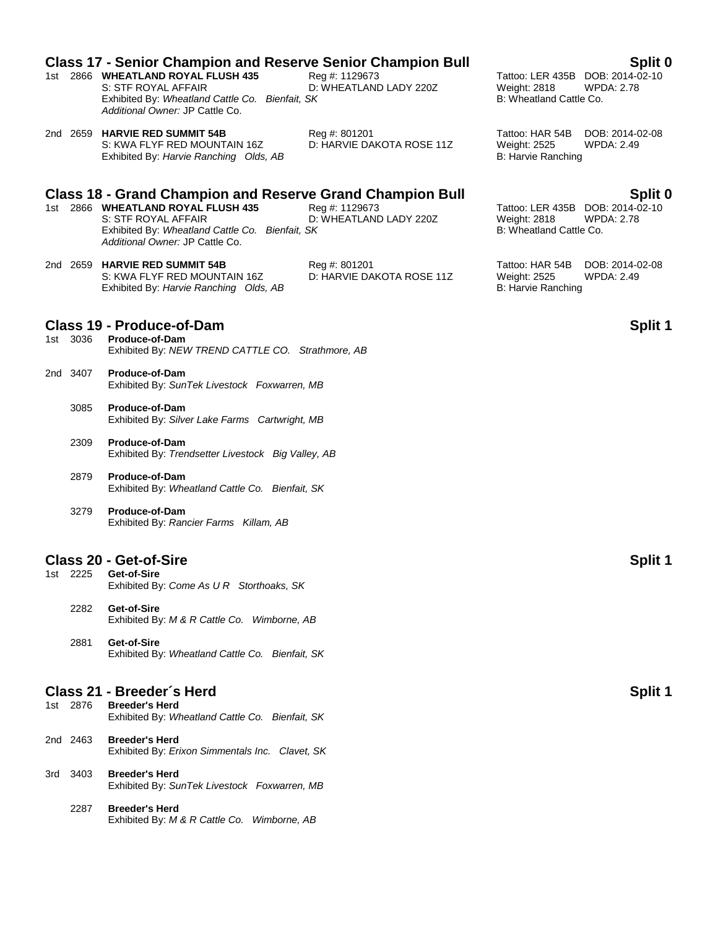|  |          | <b>Class 17 - Senior Champion and Reserve Senior Champion Bull</b>                                                                              |                                            |                                                                                    | Split 0                              |
|--|----------|-------------------------------------------------------------------------------------------------------------------------------------------------|--------------------------------------------|------------------------------------------------------------------------------------|--------------------------------------|
|  |          | 1st 2866 WHEATLAND ROYAL FLUSH 435<br>S: STF ROYAL AFFAIR<br>Exhibited By: Wheatland Cattle Co. Bienfait, SK<br>Additional Owner: JP Cattle Co. | Reg #: 1129673<br>D: WHEATLAND LADY 220Z   | Tattoo: LER 435B DOB: 2014-02-10<br><b>Weight: 2818</b><br>B: Wheatland Cattle Co. | <b>WPDA: 2.78</b>                    |
|  |          | 2nd 2659 HARVIE RED SUMMIT 54B<br>S: KWA FLYF RED MOUNTAIN 16Z<br>Exhibited By: Harvie Ranching Olds, AB                                        | Reg #: 801201<br>D: HARVIE DAKOTA ROSE 11Z | Tattoo: HAR 54B<br><b>Weight: 2525</b><br>B: Harvie Ranching                       | DOB: 2014-02-08<br><b>WPDA: 2.49</b> |
|  |          | <b>Class 18 - Grand Champion and Reserve Grand Champion Bull</b>                                                                                |                                            |                                                                                    | Split 0                              |
|  |          | 1st 2866 WHEATLAND ROYAL FLUSH 435<br>S: STF ROYAL AFFAIR<br>Exhibited By: Wheatland Cattle Co. Bienfait, SK<br>Additional Owner: JP Cattle Co. | Reg #: 1129673<br>D: WHEATLAND LADY 220Z   | Tattoo: LER 435B DOB: 2014-02-10<br><b>Weight: 2818</b><br>B: Wheatland Cattle Co. | <b>WPDA: 2.78</b>                    |
|  |          | 2nd 2659 HARVIE RED SUMMIT 54B<br>S: KWA FLYF RED MOUNTAIN 16Z<br>Exhibited By: Harvie Ranching Olds, AB                                        | Reg #: 801201<br>D: HARVIE DAKOTA ROSE 11Z | Tattoo: HAR 54B<br><b>Weight: 2525</b><br>B: Harvie Ranching                       | DOB: 2014-02-08<br><b>WPDA: 2.49</b> |
|  |          | <b>Class 19 - Produce-of-Dam</b>                                                                                                                |                                            |                                                                                    | Split 1                              |
|  | 1st 3036 | Produce-of-Dam<br>Exhibited By: NEW TREND CATTLE CO. Strathmore, AB                                                                             |                                            |                                                                                    |                                      |
|  | 2nd 3407 | <b>Produce-of-Dam</b><br>Exhibited By: SunTek Livestock Foxwarren, MB                                                                           |                                            |                                                                                    |                                      |
|  | 3085     | Produce-of-Dam<br>Exhibited By: Silver Lake Farms Cartwright, MB                                                                                |                                            |                                                                                    |                                      |

- 2309 **Produce-of-Dam** Exhibited By: *Trendsetter Livestock Big Valley, AB*
- 2879 **Produce-of-Dam** Exhibited By: *Wheatland Cattle Co. Bienfait, SK*
- 3279 **Produce-of-Dam** Exhibited By: *Rancier Farms Killam, AB*

### **Class 20 - Get-of-Sire Support 20 - Split 1**

- 1st 2225 **Get-of-Sire** Exhibited By: *Come As U R Storthoaks, SK*
	- 2282 **Get-of-Sire** Exhibited By: *M & R Cattle Co. Wimborne, AB*
	- 2881 **Get-of-Sire** Exhibited By: *Wheatland Cattle Co. Bienfait, SK*

### **Class 21 - Breeder's Herd Split 1**

| 1st  | 2876     | <b>Breeder's Herd</b><br>Exhibited By: Wheatland Cattle Co. Bienfait, SK |
|------|----------|--------------------------------------------------------------------------|
|      | 2nd 2463 | <b>Breeder's Herd</b><br>Exhibited By: Erixon Simmentals Inc. Clavet, SK |
| 3rd. | -3403    | <b>Breeder's Herd</b><br>Exhibited By: SunTek Livestock Foxwarren, MB    |

2287 **Breeder's Herd** Exhibited By: *M & R Cattle Co. Wimborne, AB*